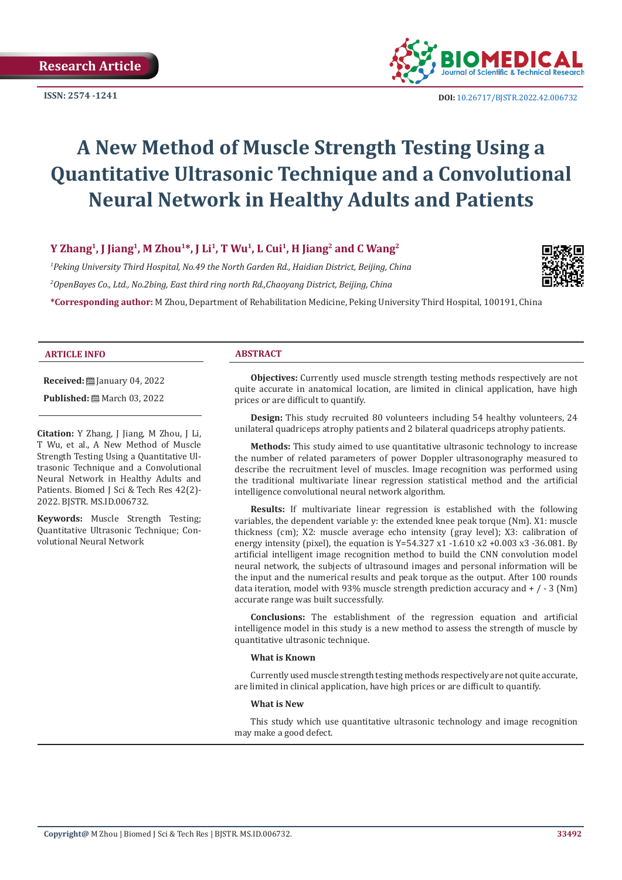

# **A New Method of Muscle Strength Testing Using a Quantitative Ultrasonic Technique and a Convolutional Neural Network in Healthy Adults and Patients**

# **Y Zhang1, J Jiang1, M Zhou1\*, J Li1, T Wu1, L Cui1, H Jiang2 and C Wang2**

*1 Peking University Third Hospital, No.49 the North Garden Rd., Haidian District, Beijing, China 2 OpenBayes Co., Ltd., No.2bing, East third ring north Rd.,Chaoyang District, Beijing, China*



**\*Corresponding author:** M Zhou, Department of Rehabilitation Medicine, Peking University Third Hospital, 100191, China

#### **ARTICLE INFO ABSTRACT**

**Received:** [ January 04, 2022

**Published:** ■ March 03, 2022

**Citation:** Y Zhang, J Jiang, M Zhou, J Li, T Wu, et al., A New Method of Muscle Strength Testing Using a Quantitative Ultrasonic Technique and a Convolutional Neural Network in Healthy Adults and Patients. Biomed J Sci & Tech Res 42(2)-2022. BJSTR. MS.ID.006732.

**Keywords:** Muscle Strength Testing; Quantitative Ultrasonic Technique; Convolutional Neural Network

**Objectives:** Currently used muscle strength testing methods respectively are not quite accurate in anatomical location, are limited in clinical application, have high prices or are difficult to quantify.

**Design:** This study recruited 80 volunteers including 54 healthy volunteers, 24 unilateral quadriceps atrophy patients and 2 bilateral quadriceps atrophy patients.

**Methods:** This study aimed to use quantitative ultrasonic technology to increase the number of related parameters of power Doppler ultrasonography measured to describe the recruitment level of muscles. Image recognition was performed using the traditional multivariate linear regression statistical method and the artificial intelligence convolutional neural network algorithm.

**Results:** If multivariate linear regression is established with the following variables, the dependent variable y: the extended knee peak torque (Nm). X1: muscle thickness (cm); X2: muscle average echo intensity (gray level); X3: calibration of energy intensity (pixel), the equation is Y=54.327 x1 -1.610 x2 +0.003 x3 -36.081. By artificial intelligent image recognition method to build the CNN convolution model neural network, the subjects of ultrasound images and personal information will be the input and the numerical results and peak torque as the output. After 100 rounds data iteration, model with 93% muscle strength prediction accuracy and  $+$  /  $-$  3 (Nm) accurate range was built successfully.

**Conclusions:** The establishment of the regression equation and artificial intelligence model in this study is a new method to assess the strength of muscle by quantitative ultrasonic technique.

#### **What is Known**

Currently used muscle strength testing methods respectively are not quite accurate, are limited in clinical application, have high prices or are difficult to quantify.

#### **What is New**

This study which use quantitative ultrasonic technology and image recognition may make a good defect.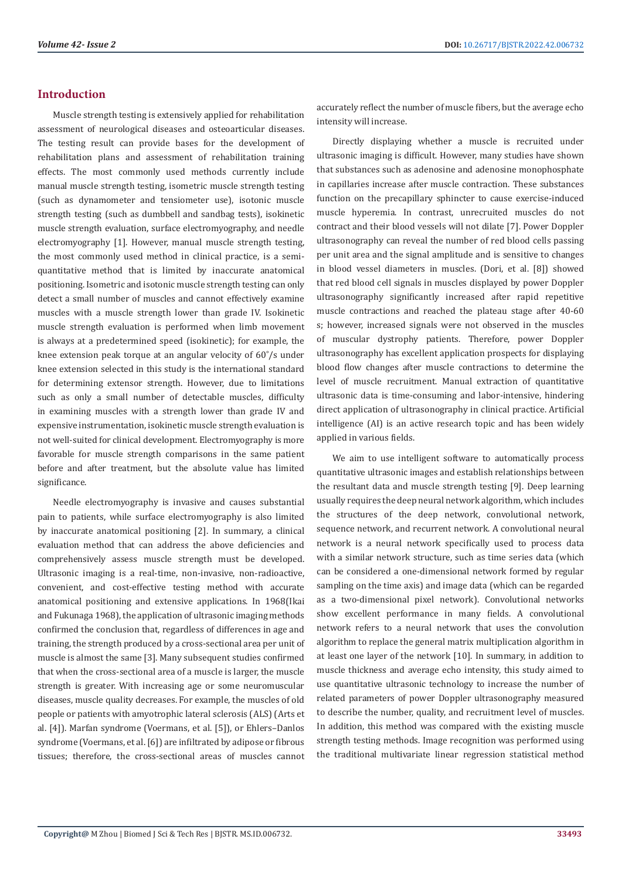# **Introduction**

Muscle strength testing is extensively applied for rehabilitation assessment of neurological diseases and osteoarticular diseases. The testing result can provide bases for the development of rehabilitation plans and assessment of rehabilitation training effects. The most commonly used methods currently include manual muscle strength testing, isometric muscle strength testing (such as dynamometer and tensiometer use), isotonic muscle strength testing (such as dumbbell and sandbag tests), isokinetic muscle strength evaluation, surface electromyography, and needle electromyography [1]. However, manual muscle strength testing, the most commonly used method in clinical practice, is a semiquantitative method that is limited by inaccurate anatomical positioning. Isometric and isotonic muscle strength testing can only detect a small number of muscles and cannot effectively examine muscles with a muscle strength lower than grade IV. Isokinetic muscle strength evaluation is performed when limb movement is always at a predetermined speed (isokinetic); for example, the knee extension peak torque at an angular velocity of 60˚/s under knee extension selected in this study is the international standard for determining extensor strength. However, due to limitations such as only a small number of detectable muscles, difficulty in examining muscles with a strength lower than grade IV and expensive instrumentation, isokinetic muscle strength evaluation is not well-suited for clinical development. Electromyography is more favorable for muscle strength comparisons in the same patient before and after treatment, but the absolute value has limited significance.

Needle electromyography is invasive and causes substantial pain to patients, while surface electromyography is also limited by inaccurate anatomical positioning [2]. In summary, a clinical evaluation method that can address the above deficiencies and comprehensively assess muscle strength must be developed. Ultrasonic imaging is a real-time, non-invasive, non-radioactive, convenient, and cost-effective testing method with accurate anatomical positioning and extensive applications. In 1968(Ikai and Fukunaga 1968), the application of ultrasonic imaging methods confirmed the conclusion that, regardless of differences in age and training, the strength produced by a cross-sectional area per unit of muscle is almost the same [3]. Many subsequent studies confirmed that when the cross-sectional area of a muscle is larger, the muscle strength is greater. With increasing age or some neuromuscular diseases, muscle quality decreases. For example, the muscles of old people or patients with amyotrophic lateral sclerosis (ALS) (Arts et al. [4]). Marfan syndrome (Voermans, et al. [5]), or Ehlers–Danlos syndrome (Voermans, et al. [6]) are infiltrated by adipose or fibrous tissues; therefore, the cross-sectional areas of muscles cannot

accurately reflect the number of muscle fibers, but the average echo intensity will increase.

Directly displaying whether a muscle is recruited under ultrasonic imaging is difficult. However, many studies have shown that substances such as adenosine and adenosine monophosphate in capillaries increase after muscle contraction. These substances function on the precapillary sphincter to cause exercise-induced muscle hyperemia. In contrast, unrecruited muscles do not contract and their blood vessels will not dilate [7]. Power Doppler ultrasonography can reveal the number of red blood cells passing per unit area and the signal amplitude and is sensitive to changes in blood vessel diameters in muscles. (Dori, et al. [8]) showed that red blood cell signals in muscles displayed by power Doppler ultrasonography significantly increased after rapid repetitive muscle contractions and reached the plateau stage after 40-60 s; however, increased signals were not observed in the muscles of muscular dystrophy patients. Therefore, power Doppler ultrasonography has excellent application prospects for displaying blood flow changes after muscle contractions to determine the level of muscle recruitment. Manual extraction of quantitative ultrasonic data is time-consuming and labor-intensive, hindering direct application of ultrasonography in clinical practice. Artificial intelligence (AI) is an active research topic and has been widely applied in various fields.

We aim to use intelligent software to automatically process quantitative ultrasonic images and establish relationships between the resultant data and muscle strength testing [9]. Deep learning usually requires the deep neural network algorithm, which includes the structures of the deep network, convolutional network, sequence network, and recurrent network. A convolutional neural network is a neural network specifically used to process data with a similar network structure, such as time series data (which can be considered a one-dimensional network formed by regular sampling on the time axis) and image data (which can be regarded as a two-dimensional pixel network). Convolutional networks show excellent performance in many fields. A convolutional network refers to a neural network that uses the convolution algorithm to replace the general matrix multiplication algorithm in at least one layer of the network [10]. In summary, in addition to muscle thickness and average echo intensity, this study aimed to use quantitative ultrasonic technology to increase the number of related parameters of power Doppler ultrasonography measured to describe the number, quality, and recruitment level of muscles. In addition, this method was compared with the existing muscle strength testing methods. Image recognition was performed using the traditional multivariate linear regression statistical method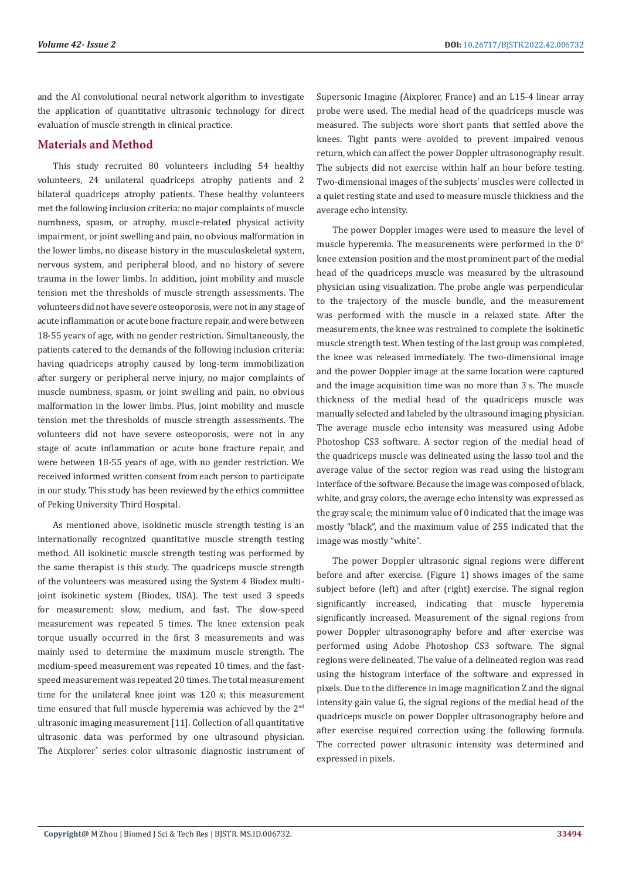and the AI convolutional neural network algorithm to investigate the application of quantitative ultrasonic technology for direct evaluation of muscle strength in clinical practice.

# **Materials and Method**

This study recruited 80 volunteers including 54 healthy volunteers, 24 unilateral quadriceps atrophy patients and 2 bilateral quadriceps atrophy patients. These healthy volunteers met the following inclusion criteria: no major complaints of muscle numbness, spasm, or atrophy, muscle-related physical activity impairment, or joint swelling and pain, no obvious malformation in the lower limbs, no disease history in the musculoskeletal system, nervous system, and peripheral blood, and no history of severe trauma in the lower limbs. In addition, joint mobility and muscle tension met the thresholds of muscle strength assessments. The volunteers did not have severe osteoporosis, were not in any stage of acute inflammation or acute bone fracture repair, and were between 18-55 years of age, with no gender restriction. Simultaneously, the patients catered to the demands of the following inclusion criteria: having quadriceps atrophy caused by long-term immobilization after surgery or peripheral nerve injury, no major complaints of muscle numbness, spasm, or joint swelling and pain, no obvious malformation in the lower limbs. Plus, joint mobility and muscle tension met the thresholds of muscle strength assessments. The volunteers did not have severe osteoporosis, were not in any stage of acute inflammation or acute bone fracture repair, and were between 18-55 years of age, with no gender restriction. We received informed written consent from each person to participate in our study. This study has been reviewed by the ethics committee of Peking University Third Hospital.

As mentioned above, isokinetic muscle strength testing is an internationally recognized quantitative muscle strength testing method. All isokinetic muscle strength testing was performed by the same therapist is this study. The quadriceps muscle strength of the volunteers was measured using the System 4 Biodex multijoint isokinetic system (Biodex, USA). The test used 3 speeds for measurement: slow, medium, and fast. The slow-speed measurement was repeated 5 times. The knee extension peak torque usually occurred in the first 3 measurements and was mainly used to determine the maximum muscle strength. The medium-speed measurement was repeated 10 times, and the fastspeed measurement was repeated 20 times. The total measurement time for the unilateral knee joint was 120 s; this measurement time ensured that full muscle hyperemia was achieved by the 2<sup>nd</sup> ultrasonic imaging measurement [11]. Collection of all quantitative ultrasonic data was performed by one ultrasound physician. The Aixplorer® series color ultrasonic diagnostic instrument of Supersonic Imagine (Aixplorer, France) and an L15-4 linear array probe were used. The medial head of the quadriceps muscle was measured. The subjects wore short pants that settled above the knees. Tight pants were avoided to prevent impaired venous return, which can affect the power Doppler ultrasonography result. The subjects did not exercise within half an hour before testing. Two-dimensional images of the subjects' muscles were collected in a quiet resting state and used to measure muscle thickness and the average echo intensity.

The power Doppler images were used to measure the level of muscle hyperemia. The measurements were performed in the 0° knee extension position and the most prominent part of the medial head of the quadriceps muscle was measured by the ultrasound physician using visualization. The probe angle was perpendicular to the trajectory of the muscle bundle, and the measurement was performed with the muscle in a relaxed state. After the measurements, the knee was restrained to complete the isokinetic muscle strength test. When testing of the last group was completed, the knee was released immediately. The two-dimensional image and the power Doppler image at the same location were captured and the image acquisition time was no more than 3 s. The muscle thickness of the medial head of the quadriceps muscle was manually selected and labeled by the ultrasound imaging physician. The average muscle echo intensity was measured using Adobe Photoshop CS3 software. A sector region of the medial head of the quadriceps muscle was delineated using the lasso tool and the average value of the sector region was read using the histogram interface of the software. Because the image was composed of black, white, and gray colors, the average echo intensity was expressed as the gray scale; the minimum value of 0 indicated that the image was mostly "black", and the maximum value of 255 indicated that the image was mostly "white".

The power Doppler ultrasonic signal regions were different before and after exercise. (Figure 1) shows images of the same subject before (left) and after (right) exercise. The signal region significantly increased, indicating that muscle hyperemia significantly increased. Measurement of the signal regions from power Doppler ultrasonography before and after exercise was performed using Adobe Photoshop CS3 software. The signal regions were delineated. The value of a delineated region was read using the histogram interface of the software and expressed in pixels. Due to the difference in image magnification Z and the signal intensity gain value G, the signal regions of the medial head of the quadriceps muscle on power Doppler ultrasonography before and after exercise required correction using the following formula. The corrected power ultrasonic intensity was determined and expressed in pixels.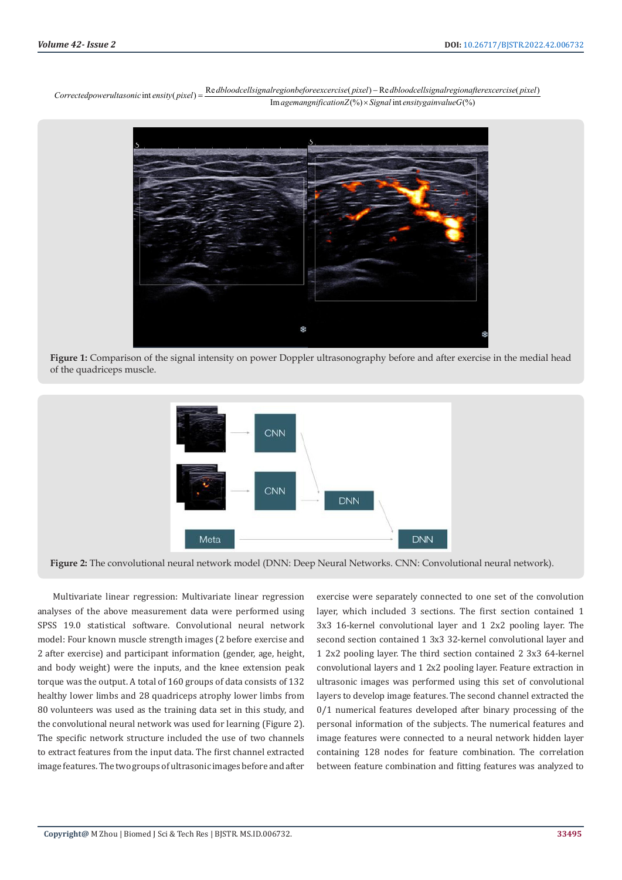$Corrected powerultasonic in tensity(pixel) = \frac{Re \, dblood cellsignal region before exercise(pixel) - Re \, dblood cellsignal region after exercise(pixel) }{Im \,agemanngification Z(\%) \times Signal int \,ensity gain value G(\%)}$ 



**Figure 1:** Comparison of the signal intensity on power Doppler ultrasonography before and after exercise in the medial head of the quadriceps muscle.



**Figure 2:** The convolutional neural network model (DNN: Deep Neural Networks. CNN: Convolutional neural network).

Multivariate linear regression: Multivariate linear regression analyses of the above measurement data were performed using SPSS 19.0 statistical software. Convolutional neural network model: Four known muscle strength images (2 before exercise and 2 after exercise) and participant information (gender, age, height, and body weight) were the inputs, and the knee extension peak torque was the output. A total of 160 groups of data consists of 132 healthy lower limbs and 28 quadriceps atrophy lower limbs from 80 volunteers was used as the training data set in this study, and the convolutional neural network was used for learning (Figure 2). The specific network structure included the use of two channels to extract features from the input data. The first channel extracted image features. The two groups of ultrasonic images before and after

exercise were separately connected to one set of the convolution layer, which included 3 sections. The first section contained 1 3x3 16-kernel convolutional layer and 1 2x2 pooling layer. The second section contained 1 3x3 32-kernel convolutional layer and 1 2x2 pooling layer. The third section contained 2 3x3 64-kernel convolutional layers and 1 2x2 pooling layer. Feature extraction in ultrasonic images was performed using this set of convolutional layers to develop image features. The second channel extracted the 0/1 numerical features developed after binary processing of the personal information of the subjects. The numerical features and image features were connected to a neural network hidden layer containing 128 nodes for feature combination. The correlation between feature combination and fitting features was analyzed to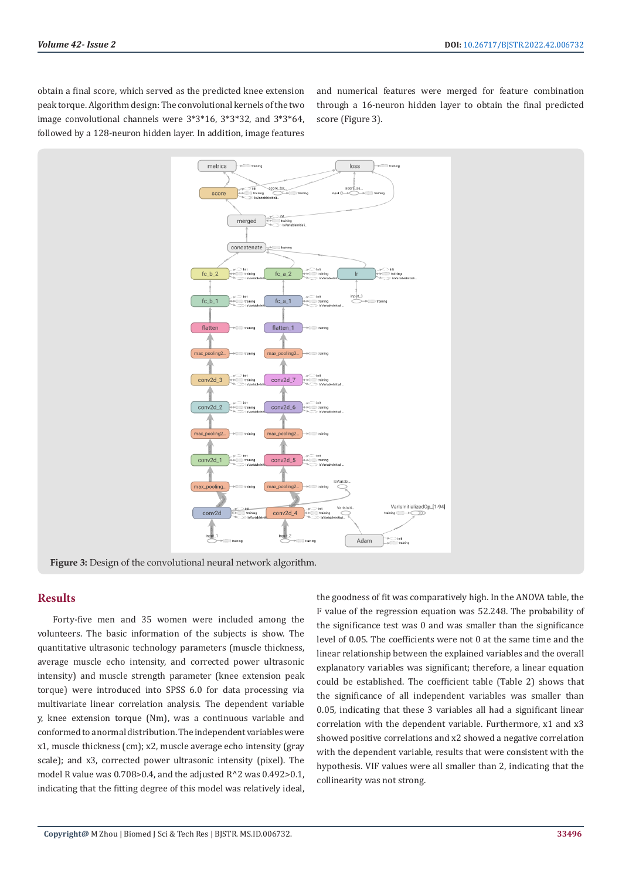obtain a final score, which served as the predicted knee extension peak torque. Algorithm design: The convolutional kernels of the two image convolutional channels were 3\*3\*16, 3\*3\*32, and 3\*3\*64, followed by a 128-neuron hidden layer. In addition, image features

and numerical features were merged for feature combination through a 16-neuron hidden layer to obtain the final predicted score (Figure 3).



### **Results**

Forty-five men and 35 women were included among the volunteers. The basic information of the subjects is show. The quantitative ultrasonic technology parameters (muscle thickness, average muscle echo intensity, and corrected power ultrasonic intensity) and muscle strength parameter (knee extension peak torque) were introduced into SPSS 6.0 for data processing via multivariate linear correlation analysis. The dependent variable y, knee extension torque (Nm), was a continuous variable and conformed to a normal distribution. The independent variables were x1, muscle thickness (cm); x2, muscle average echo intensity (gray scale); and x3, corrected power ultrasonic intensity (pixel). The model R value was  $0.708 > 0.4$ , and the adjusted  $R^2$  was  $0.492 > 0.1$ , indicating that the fitting degree of this model was relatively ideal,

the goodness of fit was comparatively high. In the ANOVA table, the F value of the regression equation was 52.248. The probability of the significance test was 0 and was smaller than the significance level of 0.05. The coefficients were not 0 at the same time and the linear relationship between the explained variables and the overall explanatory variables was significant; therefore, a linear equation could be established. The coefficient table (Table 2) shows that the significance of all independent variables was smaller than 0.05, indicating that these 3 variables all had a significant linear correlation with the dependent variable. Furthermore, x1 and x3 showed positive correlations and x2 showed a negative correlation with the dependent variable, results that were consistent with the hypothesis. VIF values were all smaller than 2, indicating that the collinearity was not strong.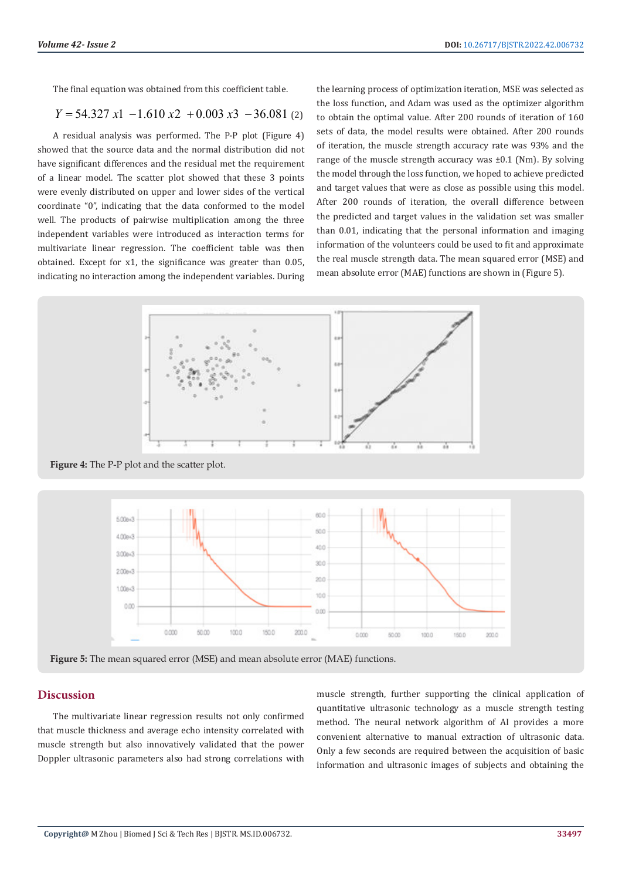The final equation was obtained from this coefficient table.

$$
Y = 54.327 \, x1 \, -1.610 \, x2 \, +0.003 \, x3 \, -36.081 \, (2)
$$

A residual analysis was performed. The P-P plot (Figure 4) showed that the source data and the normal distribution did not have significant differences and the residual met the requirement of a linear model. The scatter plot showed that these 3 points were evenly distributed on upper and lower sides of the vertical coordinate "0", indicating that the data conformed to the model well. The products of pairwise multiplication among the three independent variables were introduced as interaction terms for multivariate linear regression. The coefficient table was then obtained. Except for x1, the significance was greater than 0.05, indicating no interaction among the independent variables. During the learning process of optimization iteration, MSE was selected as the loss function, and Adam was used as the optimizer algorithm to obtain the optimal value. After 200 rounds of iteration of 160 sets of data, the model results were obtained. After 200 rounds of iteration, the muscle strength accuracy rate was 93% and the range of the muscle strength accuracy was ±0.1 (Nm). By solving the model through the loss function, we hoped to achieve predicted and target values that were as close as possible using this model. After 200 rounds of iteration, the overall difference between the predicted and target values in the validation set was smaller than 0.01, indicating that the personal information and imaging information of the volunteers could be used to fit and approximate the real muscle strength data. The mean squared error (MSE) and mean absolute error (MAE) functions are shown in (Figure 5).





**Figure 5:** The mean squared error (MSE) and mean absolute error (MAE) functions.

#### **Discussion**

The multivariate linear regression results not only confirmed that muscle thickness and average echo intensity correlated with muscle strength but also innovatively validated that the power Doppler ultrasonic parameters also had strong correlations with

muscle strength, further supporting the clinical application of quantitative ultrasonic technology as a muscle strength testing method. The neural network algorithm of AI provides a more convenient alternative to manual extraction of ultrasonic data. Only a few seconds are required between the acquisition of basic information and ultrasonic images of subjects and obtaining the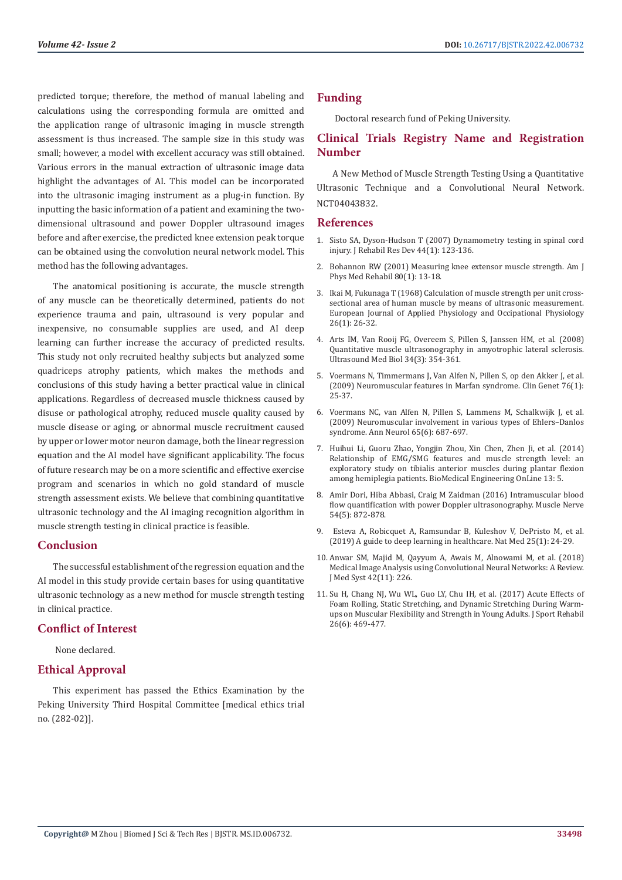predicted torque; therefore, the method of manual labeling and calculations using the corresponding formula are omitted and the application range of ultrasonic imaging in muscle strength assessment is thus increased. The sample size in this study was small; however, a model with excellent accuracy was still obtained. Various errors in the manual extraction of ultrasonic image data highlight the advantages of AI. This model can be incorporated into the ultrasonic imaging instrument as a plug-in function. By inputting the basic information of a patient and examining the twodimensional ultrasound and power Doppler ultrasound images before and after exercise, the predicted knee extension peak torque can be obtained using the convolution neural network model. This method has the following advantages.

The anatomical positioning is accurate, the muscle strength of any muscle can be theoretically determined, patients do not experience trauma and pain, ultrasound is very popular and inexpensive, no consumable supplies are used, and AI deep learning can further increase the accuracy of predicted results. This study not only recruited healthy subjects but analyzed some quadriceps atrophy patients, which makes the methods and conclusions of this study having a better practical value in clinical applications. Regardless of decreased muscle thickness caused by disuse or pathological atrophy, reduced muscle quality caused by muscle disease or aging, or abnormal muscle recruitment caused by upper or lower motor neuron damage, both the linear regression equation and the AI model have significant applicability. The focus of future research may be on a more scientific and effective exercise program and scenarios in which no gold standard of muscle strength assessment exists. We believe that combining quantitative ultrasonic technology and the AI imaging recognition algorithm in muscle strength testing in clinical practice is feasible.

### **Conclusion**

The successful establishment of the regression equation and the AI model in this study provide certain bases for using quantitative ultrasonic technology as a new method for muscle strength testing in clinical practice.

# **Conflict of Interest**

None declared.

# **Ethical Approval**

This experiment has passed the Ethics Examination by the Peking University Third Hospital Committee [medical ethics trial no. (282-02)].

# **Funding**

Doctoral research fund of Peking University.

# **Clinical Trials Registry Name and Registration Number**

A New Method of Muscle Strength Testing Using a Quantitative Ultrasonic Technique and a Convolutional Neural Network. NCT04043832.

#### **References**

- 1. [Sisto SA, Dyson-Hudson T \(2007\) Dynamometry testing in spinal cord](https://pubmed.ncbi.nlm.nih.gov/17551866/) [injury. J Rehabil Res Dev 44\(1\): 123-136.](https://pubmed.ncbi.nlm.nih.gov/17551866/)
- 2. [Bohannon RW \(2001\) Measuring knee extensor muscle strength. Am J](https://pubmed.ncbi.nlm.nih.gov/11138949/) [Phys Med Rehabil 80\(1\): 13-18.](https://pubmed.ncbi.nlm.nih.gov/11138949/)
- 3. [Ikai M, Fukunaga T \(1968\) Calculation of muscle strength per unit cross](https://pubmed.ncbi.nlm.nih.gov/5700894/)[sectional area of human muscle by means of ultrasonic measurement.](https://pubmed.ncbi.nlm.nih.gov/5700894/) [European Journal of Applied Physiology and Occipational Physiology](https://pubmed.ncbi.nlm.nih.gov/5700894/) [26\(1\): 26-32.](https://pubmed.ncbi.nlm.nih.gov/5700894/)
- 4. [Arts IM, Van Rooij FG, Overeem S, Pillen S, Janssen HM, et al. \(2008\)](https://pubmed.ncbi.nlm.nih.gov/17964067/) [Quantitative muscle ultrasonography in amyotrophic lateral sclerosis.](https://pubmed.ncbi.nlm.nih.gov/17964067/) [Ultrasound Med Biol 34\(3\): 354-361.](https://pubmed.ncbi.nlm.nih.gov/17964067/)
- 5. Voermans N, Timmermans J, Van Alfen N, Pillen S, op den Akker J, et al. (2009) Neuromuscular features in Marfan syndrome. Clin Genet 76(1): 25-37.
- 6. Voermans NC, van Alfen N, Pillen S, Lammens M, Schalkwijk J, et al. (2009) Neuromuscular involvement in various types of Ehlers–Danlos syndrome. Ann Neurol 65(6): 687-697.
- 7. [Huihui Li, Guoru Zhao, Yongjin Zhou, Xin Chen, Zhen Ji, et al. \(2014\)](https://biomedical-engineering-online.biomedcentral.com/articles/10.1186/1475-925X-13-5) [Relationship of EMG/SMG features and muscle strength level: an](https://biomedical-engineering-online.biomedcentral.com/articles/10.1186/1475-925X-13-5) [exploratory study on tibialis anterior muscles during plantar flexion](https://biomedical-engineering-online.biomedcentral.com/articles/10.1186/1475-925X-13-5) [among hemiplegia patients. BioMedical Engineering OnLine 13: 5.](https://biomedical-engineering-online.biomedcentral.com/articles/10.1186/1475-925X-13-5)
- 8. [Amir Dori, Hiba Abbasi, Craig M Zaidman \(2016\) Intramuscular blood](https://pubmed.ncbi.nlm.nih.gov/26994405/) [flow quantification with power Doppler ultrasonography. Muscle Nerve](https://pubmed.ncbi.nlm.nih.gov/26994405/) [54\(5\): 872-878.](https://pubmed.ncbi.nlm.nih.gov/26994405/)
- 9. [Esteva A, Robicquet A, Ramsundar B, Kuleshov V, DePristo M, et al.](https://www.nature.com/articles/s41591-018-0316-z) [\(2019\) A guide to deep learning in healthcare. Nat Med 25\(1\): 24-29.](https://www.nature.com/articles/s41591-018-0316-z)
- 10. [Anwar SM, Majid M, Qayyum A, Awais M, Alnowami M, et al. \(2018\)](https://link.springer.com/article/10.1007/s10916-018-1088-1) [Medical Image Analysis using Convolutional Neural Networks: A Review.](https://link.springer.com/article/10.1007/s10916-018-1088-1) [J Med Syst 42\(11\): 226.](https://link.springer.com/article/10.1007/s10916-018-1088-1)
- 11. [Su H, Chang NJ, Wu WL, Guo LY, Chu IH, et al. \(2017\) Acute Effects of](https://pubmed.ncbi.nlm.nih.gov/27736289/) [Foam Rolling, Static Stretching, and Dynamic Stretching During Warm](https://pubmed.ncbi.nlm.nih.gov/27736289/)[ups on Muscular Flexibility and Strength in Young Adults. J Sport Rehabil](https://pubmed.ncbi.nlm.nih.gov/27736289/) [26\(6\): 469-477.](https://pubmed.ncbi.nlm.nih.gov/27736289/)